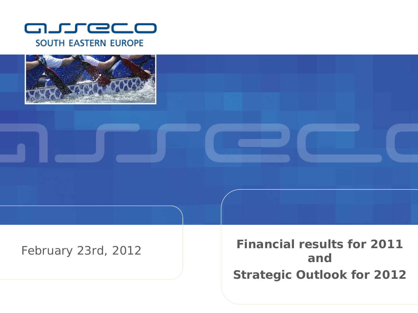



#### February 23rd, 201 2

**Financial results for 2011 and Strategic Outlook for 2012**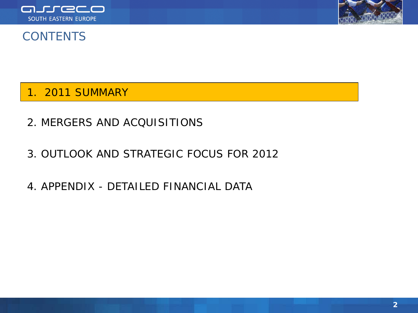



#### **CONTENTS**

1. 2011 SUMMARY

- 2. MERGERS AND ACQUISITIONS
- 3. OUTLOOK AND STRATEGIC FOCUS FOR 2012
- 4. APPENDIX DETAILED FINANCIAL DATA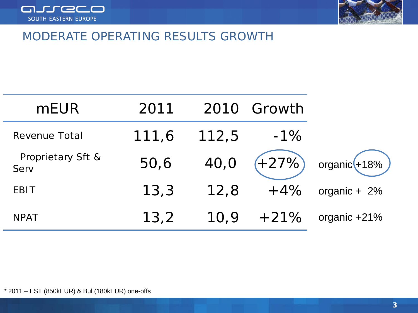<span id="page-2-0"></span>



#### MODERATE OPERATING RESULTS GROWTH

| <b>mEUR</b>               | 2011  |       | 2010 Growth |                               |
|---------------------------|-------|-------|-------------|-------------------------------|
| Revenue Total             | 111,6 | 112,5 | $-1\%$      |                               |
| Proprietary Sft &<br>Serv | 50,6  | 40,0  |             | $( + 27\%)$ organic $(+18\%)$ |
| <b>EBIT</b>               | 13,3  | 12,8  | $+4%$       | organic + $2%$                |
| <b>NPAT</b>               | 13,2  | 10,9  | $+21%$      | organic +21%                  |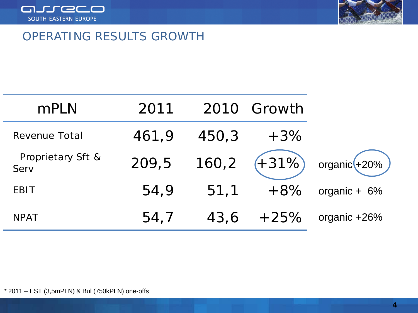



#### OPERATING RESULTS GROWTH

| mPLN                      | 2011  |       | 2010 Growth |                                     |
|---------------------------|-------|-------|-------------|-------------------------------------|
| Revenue Total             | 461,9 | 450,3 | $+3%$       |                                     |
| Proprietary Sft &<br>Serv | 209,5 |       |             | $160,2$ $(+31\%)$ organic $(+20\%)$ |
| <b>EBIT</b>               | 54,9  | 51,1  | $+8%$       | organic + $6%$                      |
| <b>NPAT</b>               | 54,7  | 43,6  | $+25%$      | organic +26%                        |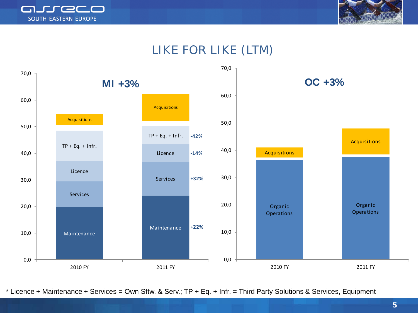



# LIKE FOR LIKE (LTM)



\* Licence + Maintenance + Services = Own Sftw. & Serv.; TP + Eq. + Infr. = Third Party Solutions & Services, Equipment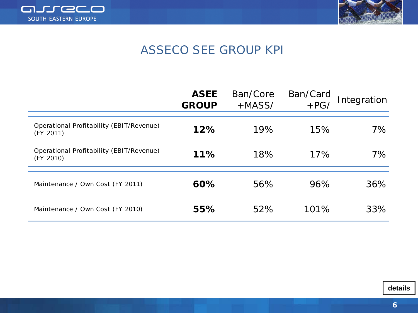



# ASSECO SEE GROUP KPI

|                                                       | <b>ASEE</b><br><b>GROUP</b> | Ban/Core<br>$+MASS/$ | Ban/Card<br>$+PG/$ | Integration |
|-------------------------------------------------------|-----------------------------|----------------------|--------------------|-------------|
| Operational Profitability (EBIT/Revenue)<br>(FY 2011) | 12%                         | 19%                  | 15%                | $7\%$       |
| Operational Profitability (EBIT/Revenue)<br>(FY 2010) | 11%                         | 18%                  | 17%                | 7%          |
| Maintenance / Own Cost (FY 2011)                      | 60%                         | 56%                  | 96%                | 36%         |
| Maintenance / Own Cost (FY 2010)                      | 55%                         | 52%                  | 101%               | 33%         |

**details**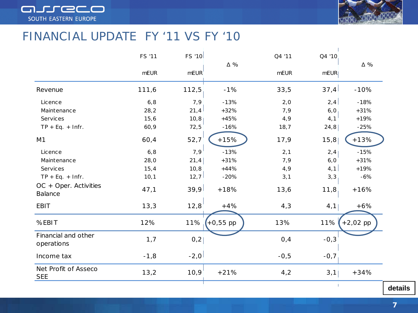



#### FINANCIAL UPDATE FY '11 VS FY '10

|                                         | <b>FS '11</b> | <b>FS '10</b>      |             | Q4 '11      | Q4 '10 |             |
|-----------------------------------------|---------------|--------------------|-------------|-------------|--------|-------------|
|                                         | <b>mEUR</b>   | mEUR <sup>'</sup>  | $\Delta \%$ | <b>mEUR</b> | mEUR   | $\Delta \%$ |
| Revenue                                 | 111,6         | 112,5              | $-1%$       | 33,5        | 37,4   | $-10%$      |
| Licence                                 | 6, 8          | 7, 9               | $-13%$      | 2,0         | 2,4    | $-18%$      |
| Maintenance                             | 28,2          | 21,4               | $+32%$      | 7,9         | 6,0    | $+31%$      |
| Services                                | 15,6          | 10, 8              | $+45%$      | 4, 9        | 4, 1   | $+19%$      |
| $TP + Eq. + Infr.$                      | 60,9          | 72,5               | $-16%$      | 18, 7       | 24,8   | $-25%$      |
| M <sub>1</sub>                          | 60,4          | 52,7               | $+15%$      | 17,9        | 15,8   | $+13%$      |
| Licence                                 | 6, 8          | $7,9$ <sup>1</sup> | $-13%$      | 2, 1        | 2,4    | $-15%$      |
| Maintenance                             | 28,0          | 21,4               | $+31%$      | 7,9         | 6,0    | $+31%$      |
| <b>Services</b>                         | 15, 4         | 10, 8              | $+44%$      | 4, 9        | 4,1    | $+19%$      |
| $TP + Eq. + Infr.$                      | 10, 1         | 12, 7              | $-20%$      | 3,1         | 3, 3   | $-6%$       |
| OC + Oper. Activities<br><b>Balance</b> | 47,1          | 39,9               | $+18%$      | 13,6        | 11,8   | $+16%$      |
| <b>EBIT</b>                             | 13,3          | 12,8               | $+4%$       | 4,3         | 4,1    | $+6%$       |
| %EBIT                                   | 12%           | 11%                | $+0,55$ pp  | 13%         | 11%    | $+2,02$ pp  |
| Financial and other<br>operations       | 1,7           | 0,2                |             | 0,4         | $-0,3$ |             |
| Income tax                              | $-1,8$        | $-2,0$             |             | $-0,5$      | $-0,7$ |             |
| Net Profit of Asseco<br><b>SEE</b>      | 13,2          | 10,9               | $+21%$      | 4,2         | 3,1    | $+34%$      |
|                                         |               |                    |             |             | -1     |             |

**details**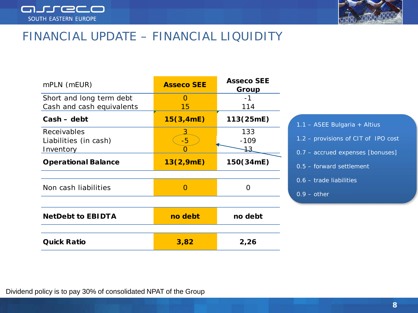



#### FINANCIAL UPDATE – FINANCIAL LIQUIDITY

| mPLN (mEUR)                                           | <b>Asseco SEE</b> | <b>Asseco SEE</b><br>Group |                                                                         |
|-------------------------------------------------------|-------------------|----------------------------|-------------------------------------------------------------------------|
| Short and long term debt<br>Cash and cash equivalents | $\Omega$<br>15    | $-1$<br>114                |                                                                         |
| $Cash - debt$                                         | 15(3,4mE)         | 113(25mE)                  | 1.1 - ASEE Bulgaria + Altius                                            |
| Receivables<br>Liabilities (in cash)<br>Inventory     | $-5$<br>O         | 133<br>$-109$<br>13        | 1.2 - provisions of CIT of IPO cost<br>0.7 - accrued expenses [bonuses] |
| <b>Operational Balance</b>                            | 13(2,9mE)         | 150(34mE)                  | $0.5$ – forward settlement                                              |
| Non cash liabilities                                  | $\overline{O}$    | $\Omega$                   | $0.6$ – trade liabilities<br>$0.9 - other$                              |
| <b>NetDebt to EBIDTA</b>                              | no debt           | no debt                    |                                                                         |
| <b>Quick Ratio</b>                                    | 3,82              | 2,26                       |                                                                         |

Dividend policy is to pay 30% of consolidated NPAT of the Group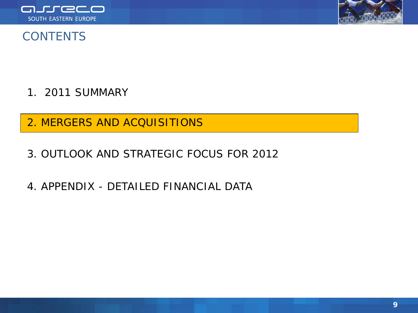



#### **CONTENTS**

- 1. 2011 SUMMARY
- 2. MERGERS AND ACQUISITIONS
- 3. OUTLOOK AND STRATEGIC FOCUS FOR 2012
- 4. APPENDIX DETAILED FINANCIAL DATA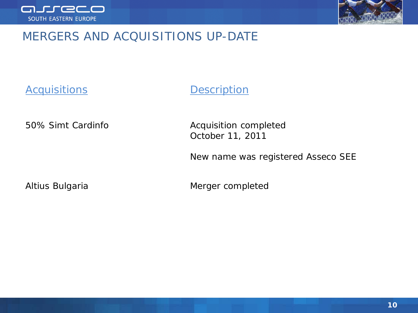



# MERGERS AND ACQUISITIONS UP-DATE

*Acquisitions Description*

50% Simt Cardinfo **Acquisition** completed

October 11, 2011

New name was registered Asseco SEE

Altius Bulgaria **Merger** completed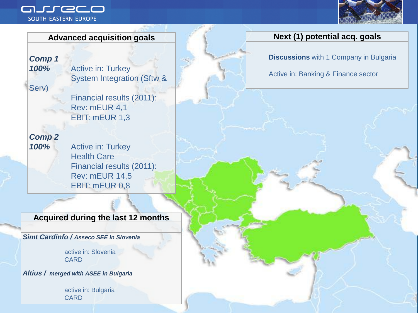#### nureco SOUTH EASTERN EUROPE



*Comp 1*

*100%* Active in: Turkey System Integration (Sftw &

Serv)

Financial results (2011): Rev: mEUR 4,1 EBIT: mEUR 1,3

*Comp 2*

*100%* Active in: Turkey Health Care Financial results (2011): Rev: mEUR 14,5 EBIT: mEUR 0,8

#### **Acquired during the last 12 months**

*Simt Cardinfo / Asseco SEE in Slovenia*

active in: Slovenia **CARD** 

*Altius / merged with ASEE in Bulgaria*

active in: Bulgaria CARD

#### **Advanced acquisition goals Next (1) potential acq. goals**

**Discussions** with 1 Company in Bulgaria

Active in: Banking & Finance sector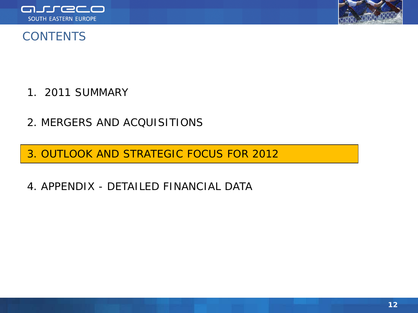



## **CONTENTS**

- 1. 2011 SUMMARY
- 2. MERGERS AND ACQUISITIONS

3. OUTLOOK AND STRATEGIC FOCUS FOR 2012

4. APPENDIX - DETAILED FINANCIAL DATA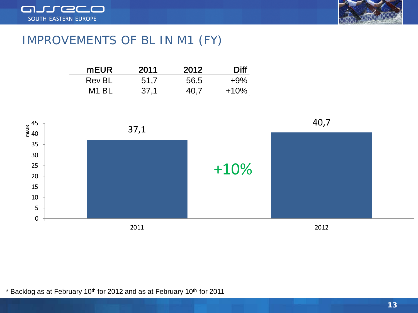



#### IMPROVEMENTS OF BL IN M1 (FY)

| mEUR.             | 2011 | 2012 | Diff   |
|-------------------|------|------|--------|
| <b>Rev BL</b>     | 51,7 | 56,5 | $+9\%$ |
| M <sub>1</sub> BL | 37,1 | 40.7 | $+10%$ |



\* Backlog as at February 10<sup>th</sup> for 2012 and as at February 10<sup>th</sup> for 2011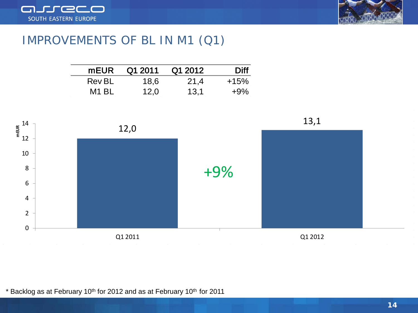



#### IMPROVEMENTS OF BL IN M1 (Q1)

| mEUR              | Q1 2011 | Q1 2012 | <b>Diff</b> |
|-------------------|---------|---------|-------------|
| Rev BL            | 18.6    | 21,4    | $+15%$      |
| M <sub>1</sub> BL | 12,0    | 13.1    | $+9\%$      |



\* Backlog as at February 10<sup>th</sup> for 2012 and as at February 10<sup>th</sup> for 2011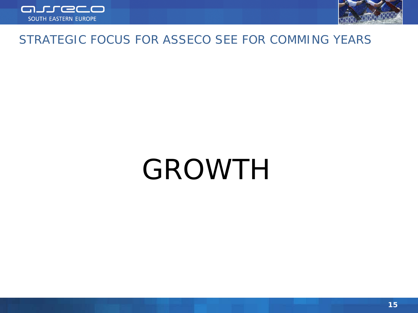



#### STRATEGIC FOCUS FOR ASSECO SEE FOR COMMING YEARS

# GROWTH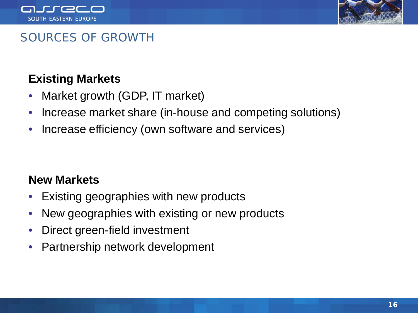



# SOURCES OF GROWTH

# **Existing Markets**

- Market growth (GDP, IT market)
- Increase market share (in-house and competing solutions)
- Increase efficiency (own software and services)

#### **New Markets**

- Existing geographies with new products
- New geographies with existing or new products
- Direct green-field investment
- Partnership network development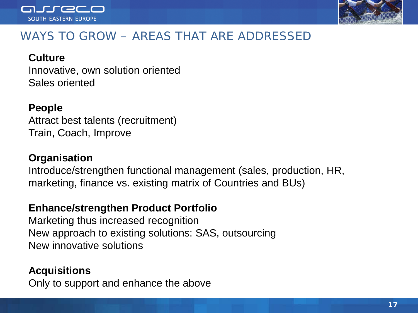



# WAYS TO GROW – AREAS THAT ARE ADDRESSED

#### **Culture**

Innovative, own solution oriented Sales oriented

#### **People**

Attract best talents (recruitment) Train, Coach, Improve

#### **Organisation**

Introduce/strengthen functional management (sales, production, HR, marketing, finance vs. existing matrix of Countries and BUs)

#### **Enhance/strengthen Product Portfolio**

Marketing thus increased recognition New approach to existing solutions: SAS, outsourcing New innovative solutions

#### **Acquisitions**

Only to support and enhance the above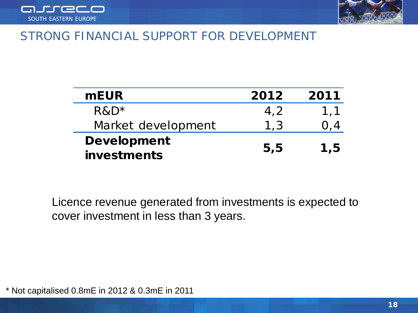



#### STRONG FINANCIAL SUPPORT FOR DEVELOPMENT

| <b>mEUR</b>        | 2012 | 2011 |
|--------------------|------|------|
| $R\&D^*$           | 4.2  | 1.1  |
| Market development | 1,3  |      |
| <b>Development</b> |      | 1,5  |
| investments        | 5,5  |      |

Licence revenue generated from investments is expected to cover investment in less than 3 years.

\* Not capitalised 0.8mE in 2012 & 0.3mE in 2011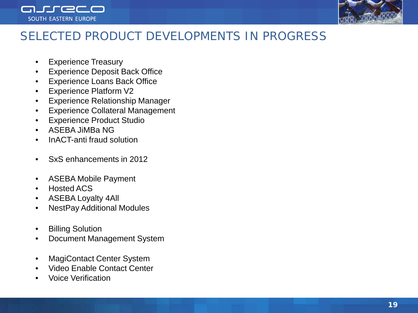



# SELECTED PRODUCT DEVELOPMENTS IN PROGRESS

- Experience Treasury
- **Experience Deposit Back Office**
- Experience Loans Back Office
- Experience Platform V2
- Experience Relationship Manager
- Experience Collateral Management
- Experience Product Studio
- ASEBA JiMBa NG
- InACT-anti fraud solution
- SxS enhancements in 2012
- ASEBA Mobile Payment
- Hosted ACS
- ASEBA Loyalty 4All
- NestPay Additional Modules
- Billing Solution
- Document Management System
- MagiContact Center System
- Video Enable Contact Center
- Voice Verification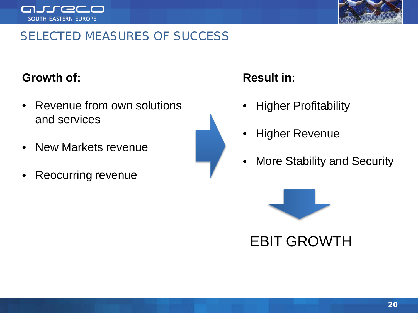



# SELECTED MEASURES OF SUCCESS

## **Growth of:**

- Revenue from own solutions and services
- New Markets revenue
- Reocurring revenue



# **Result in:**

- Higher Profitability
- **Higher Revenue**
- More Stability and Security



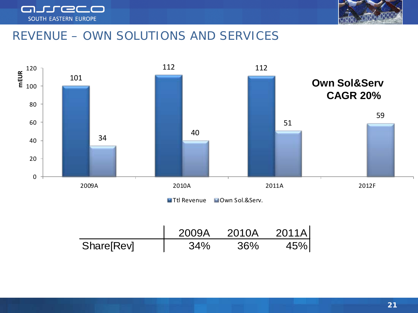



# REVENUE – OWN SOLUTIONS AND SERVICES





|            | 2009A | 2010A | 2011A |
|------------|-------|-------|-------|
| Share[Rev] | 34%   | 36%   | 45%   |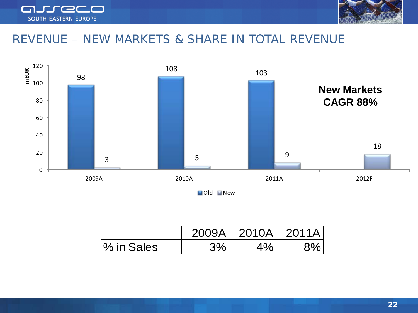



#### REVENUE – NEW MARKETS & SHARE IN TOTAL REVENUE



**New** 

|            |    | 2009A 2010A 2011Al |  |
|------------|----|--------------------|--|
| % in Sales | 3% |                    |  |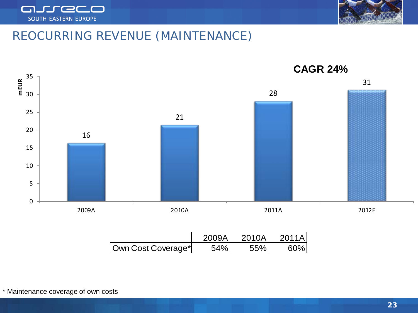



# REOCURRING REVENUE (MAINTENANCE)

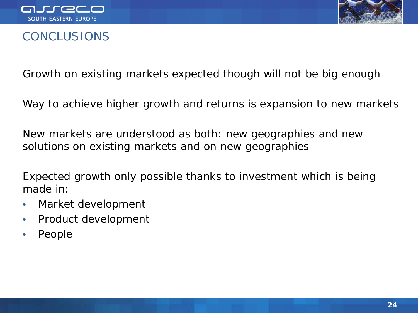



#### **CONCLUSIONS**

Growth on existing markets expected though will not be big enough

Way to achieve higher growth and returns is expansion to new markets

New markets are understood as both: new geographies and new solutions on existing markets and on new geographies

Expected growth only possible thanks to investment which is being made in:

- Market development
- Product development
- People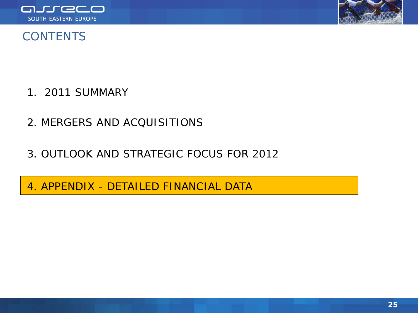



#### **CONTENTS**

- 1. 2011 SUMMARY
- 2. MERGERS AND ACQUISITIONS
- 3. OUTLOOK AND STRATEGIC FOCUS FOR 2012
- 4. APPENDIX DETAILED FINANCIAL DATA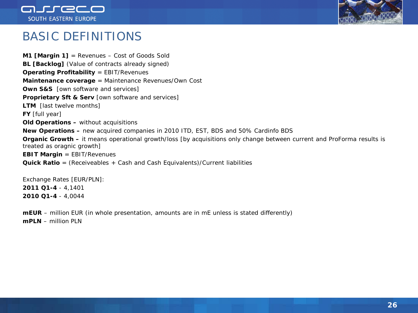



#### BASIC DEFINITIONS

**M1 [Margin 1]** = Revenues – Cost of Goods Sold **BL [Backlog]** (Value of contracts already signed) **Operating Profitability** = EBIT/Revenues **Maintenance coverage** = Maintenance Revenues/Own Cost **Own S&S** [own software and services] **Proprietary Sft & Serv** [own software and services] **LTM** [last twelve months] **FY** [full year] **Old Operations –** without acquisitions **New Operations –** new acquired companies in 2010 ITD, EST, BDS and 50% Cardinfo BDS **Organic Growth –** it means operational growth/loss [by acquisitions only change between current and ProForma results is treated as oragnic growth] **EBIT Margin** = EBIT/Revenues **Quick Ratio** = (Receiveables + Cash and Cash Equivalents)/Current liabilities

Exchange Rates [EUR/PLN]: **2011 Q1-4** - 4,1401 **2010 Q1-4** - 4,0044

**mEUR** – million EUR (in whole presentation, amounts are in mE unless is stated differently) **mPLN** – million PLN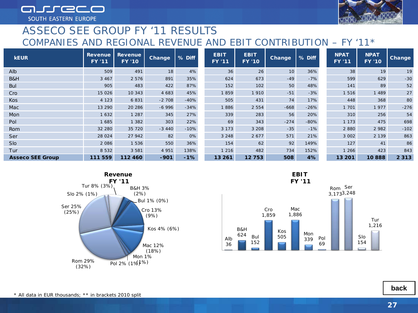arreco SOUTH EASTERN EUROPE

#### ASSECO SEE GROUP FY '11 RESULTS COMPANIES AND REGIONAL REVENUE AND EBIT CONTRIBUTION – FY '11\*

| <b>KEUR</b>             | <b>Revenue</b><br><b>FY '11</b> | <b>Revenue</b><br><b>FY '10</b> | <b>Change</b> | % Diff | <b>EBIT</b><br><b>FY '11</b> | <b>EBIT</b><br><b>FY '10</b> | <b>Change</b> | % Diff | <b>NPAT</b><br><b>FY '11</b> | <b>NPAT</b><br><b>FY '10</b> | <b>Change</b> |
|-------------------------|---------------------------------|---------------------------------|---------------|--------|------------------------------|------------------------------|---------------|--------|------------------------------|------------------------------|---------------|
| Alb                     | 509                             | 491                             | 18            | 4%     | 36                           | 26                           | 10            | 36%    | 38                           | 19                           | 19            |
| B&H                     | 3 4 6 7                         | 2 5 7 6                         | 891           | 35%    | 624                          | 673                          | $-49$         | $-7%$  | 599                          | 629                          | $-30$         |
| <b>Bul</b>              | 905                             | 483                             | 422           | 87%    | 152                          | 102                          | 50            | 48%    | 141                          | 89                           | 52            |
| Cro                     | 15 0 26                         | 10 343                          | 4 683         | 45%    | 1859                         | 1910                         | $-51$         | $-3%$  | 1516                         | 1 489                        | 27            |
| Kos                     | 4 1 2 3                         | 6831                            | $-2708$       | $-40%$ | 505                          | 431                          | 74            | 17%    | 448                          | 368                          | 80            |
| Mac                     | 13 290                          | 20 286                          | $-6996$       | $-34%$ | 1886                         | 2 5 5 4                      | $-668$        | $-26%$ | 1 701                        | 1977                         | $-276$        |
| Mon                     | 1632                            | 1 2 8 7                         | 345           | 27%    | 339                          | 283                          | 56            | 20%    | 310                          | 256                          | 54            |
| Pol                     | 1685                            | 1 3 8 2                         | 303           | 22%    | 69                           | 343                          | $-274$        | $-80%$ | 1 1 7 3                      | 475                          | 698           |
| Rom                     | 32 280                          | 35 720                          | $-3440$       | $-10%$ | 3 1 7 3                      | 3 208                        | $-35$         | $-1%$  | 2880                         | 2 9 8 2                      | $-102$        |
| Ser                     | 28 0 24                         | 27 942                          | 82            | 0%     | 3 2 4 8                      | 2677                         | 571           | 21%    | 3 002                        | 2 1 3 9                      | 863           |
| <b>Slo</b>              | 2086                            | 1 536                           | 550           | 36%    | 154                          | 62                           | 92            | 149%   | 127                          | 41                           | 86            |
| Tur                     | 8 5 3 2                         | 3 5 8 1                         | 4 9 5 1       | 138%   | 1 2 1 6                      | 482                          | 734           | 152%   | 1 266                        | 423                          | 843           |
| <b>Asseco SEE Group</b> | 111559                          | 112460                          | $-901$        | $-1%$  | 13 26 1                      | 12753                        | 508           | 4%     | 13 201                       | 10888                        | 2313          |





**[back](#page-2-0)**

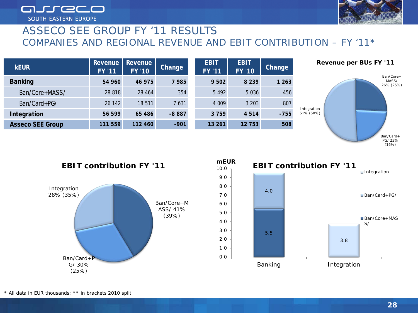arreco **SOUTH EASTERN EUROPE** 

#### ASSECO SEE GROUP FY '11 RESULTS COMPANIES AND REGIONAL REVENUE AND EBIT CONTRIBUTION – FY '11\*

| <b>kEUR</b>             | <b>Revenue</b><br><b>FY '11</b> | <b>Revenue</b><br><b>FY '10</b> | Change  | <b>EBIT</b><br><b>FY '11</b> | <b>EBIT</b><br><b>FY '10</b> | <b>Change</b> |
|-------------------------|---------------------------------|---------------------------------|---------|------------------------------|------------------------------|---------------|
| <b>Banking</b>          | 54 960                          | 46 975                          | 7985    | 9 502                        | 8 2 3 9                      | 1 263         |
| Ban/Core+MASS/          | 28 818                          | 28 464                          | 354     | 5492                         | 5036                         | 456           |
| Ban/Card+PG/            | 26 142                          | 18 511                          | 7631    | 4 0 0 9                      | 3 203                        | 807           |
| Integration             | 56 599                          | 65 486                          | $-8887$ | 3 7 5 9                      | 4 5 1 4                      | $-755$        |
| <b>Asseco SEE Group</b> | 111559                          | 112460                          | $-901$  | 13 26 1                      | 12 753                       | 508           |



#### Ban/Core+M ASS/ 41% (39%) Ban/Card+P G/ 30% (25%) Integration 28% (35%) **EBIT contribution FY '11**



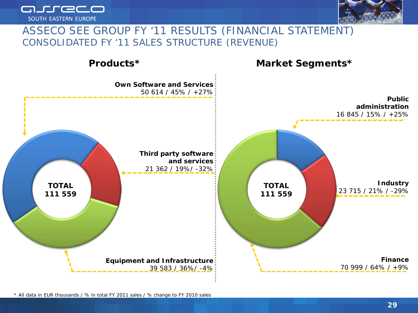



#### ASSECO SEE GROUP FY '11 RESULTS (FINANCIAL STATEMENT) CONSOLIDATED FY '11 SALES STRUCTURE (REVENUE)



*\* All data in EUR thousands / % in total FY 2011 sales / % change to FY 2010 sales*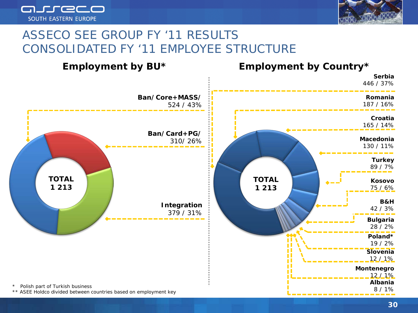



# ASSECO SEE GROUP FY '11 RESULTS CONSOLIDATED FY '11 EMPLOYEE STRUCTURE

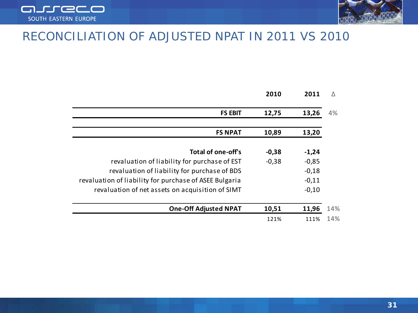



#### RECONCILIATION OF ADJUSTED NPAT IN 2011 VS 2010

|                                                        | 2010    | 2011    | Λ   |
|--------------------------------------------------------|---------|---------|-----|
| <b>FS EBIT</b>                                         | 12,75   | 13,26   | 4%  |
| <b>FS NPAT</b>                                         | 10,89   | 13,20   |     |
| Total of one-off's                                     | $-0,38$ | $-1,24$ |     |
| revaluation of liability for purchase of EST           | $-0,38$ | $-0,85$ |     |
| revaluation of liability for purchase of BDS           |         | $-0,18$ |     |
| revaluation of liability for purchase of ASEE Bulgaria |         | $-0,11$ |     |
| revaluation of net assets on acquisition of SIMT       |         | $-0,10$ |     |
| <b>One-Off Adjusted NPAT</b>                           | 10,51   | 11,96   | 14% |
|                                                        | 121%    | 111%    | 14% |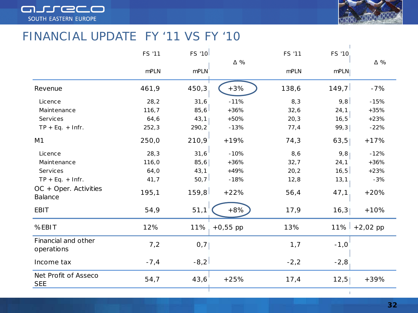



#### FINANCIAL UPDATE FY '11 VS FY '10

|                                    | FS '11 | <b>FS '10</b> | $\Delta \%$ | FS '11 | FS '10 | $\Delta \%$ |
|------------------------------------|--------|---------------|-------------|--------|--------|-------------|
|                                    | mPLN   | mPLN          |             | mPLN   | mPLN   |             |
| Revenue                            | 461,9  | 450,3         | $+3%$       | 138,6  | 149,7  | $-7%$       |
| Licence                            | 28,2   | 31,6          | $-11%$      | 8,3    | 9,8    | $-15%$      |
| Maintenance                        | 116, 7 | 85,6          | $+36%$      | 32,6   | 24, 1  | $+35%$      |
| Services                           | 64,6   | 43,1          | $+50%$      | 20,3   | 16,5   | $+23%$      |
| $TP + Eq. + Infr.$                 | 252,3  | 290,2         | $-13%$      | 77,4   | 99,3   | $-22%$      |
| M <sub>1</sub>                     | 250,0  | 210,9         | $+19%$      | 74,3   | 63,5   | $+17%$      |
| Licence                            | 28,3   | 31,6          | $-10%$      | 8,6    | 9,8    | $-12%$      |
| Maintenance                        | 116,0  | 85,6          | $+36%$      | 32,7   | 24, 1  | $+36%$      |
| Services                           | 64,0   | 43, 1         | +49%        | 20,2   | 16,5   | $+23%$      |
| $TP + Eq. + Infr.$                 | 41,7   | 50, 7         | $-18%$      | 12,8   | 13, 1  | $-3%$       |
| $OC + Oper.$ Activities<br>Balance | 195,1  | 159,8         | $+22%$      | 56,4   | 47,1   | $+20%$      |
| <b>EBIT</b>                        | 54,9   | 51,1          | $+8%$       | 17,9   | 16,3   | $+10%$      |
| %EBIT                              | 12%    | $11\%$        | $+0,55$ pp  | 13%    | 11%    | $+2,02$ pp  |
| Financial and other<br>operations  | 7,2    | 0,7           |             | 1,7    | $-1,0$ |             |
| Income tax                         | $-7,4$ | $-8,2$        |             | $-2,2$ | $-2,8$ |             |
| Net Profit of Asseco<br><b>SEE</b> | 54,7   | 43,6          | $+25%$      | 17,4   | 12,5   | $+39%$      |
|                                    |        |               |             |        |        |             |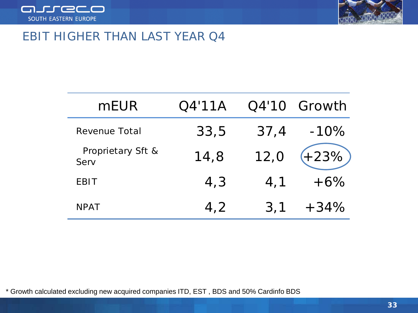



#### EBIT HIGHER THAN LAST YEAR Q4

| mEUR                      | O4'11A |      | Q4'10 Growth |
|---------------------------|--------|------|--------------|
| Revenue Total             | 33,5   | 37,4 | $-10%$       |
| Proprietary Sft &<br>Serv | 14,8   | 12,0 | $+23%$       |
| <b>EBIT</b>               | 4,3    | 4, 1 | $+6\%$       |
| <b>NPAT</b>               | 4,2    | 3,1  | $+34%$       |

\* Growth calculated excluding new acquired companies ITD, EST , BDS and 50% Cardinfo BDS